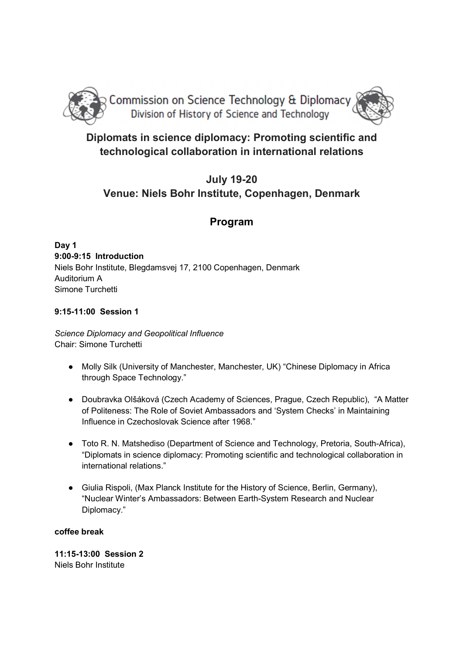

# Diplomats in science diplomacy: Promoting scientific and technological collaboration in international relations

# July 19-20 Venue: Niels Bohr Institute, Copenhagen, Denmark

## Program

Day 1 9:00-9:15 Introduction Niels Bohr Institute, Blegdamsvej 17, 2100 Copenhagen, Denmark Auditorium A Simone Turchetti

## 9:15-11:00 Session 1

Science Diplomacy and Geopolitical Influence Chair: Simone Turchetti

- Molly Silk (University of Manchester, Manchester, UK) "Chinese Diplomacy in Africa through Space Technology."
- Doubravka Olšáková (Czech Academy of Sciences, Prague, Czech Republic), "A Matter of Politeness: The Role of Soviet Ambassadors and 'System Checks' in Maintaining Influence in Czechoslovak Science after 1968."
- Toto R. N. Matshediso (Department of Science and Technology, Pretoria, South-Africa), "Diplomats in science diplomacy: Promoting scientific and technological collaboration in international relations."
- Giulia Rispoli, (Max Planck Institute for the History of Science, Berlin, Germany), "Nuclear Winter's Ambassadors: Between Earth-System Research and Nuclear Diplomacy."

## coffee break

11:15-13:00 Session 2 Niels Bohr Institute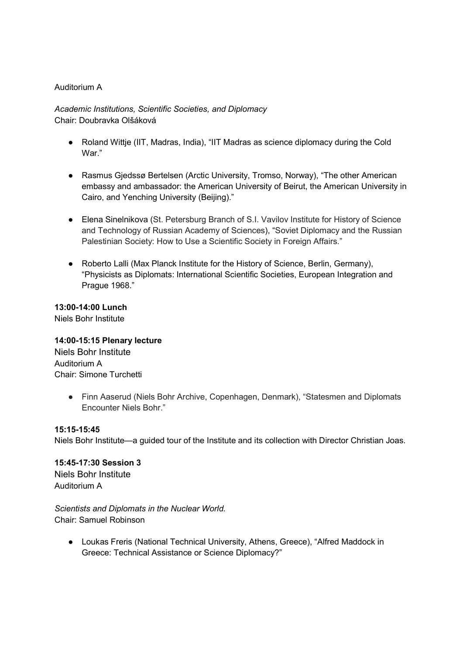#### Auditorium A

Academic Institutions, Scientific Societies, and Diplomacy Chair: Doubravka Olšáková

- Roland Wittje (IIT, Madras, India), "IIT Madras as science diplomacy during the Cold War."
- Rasmus Gjedssø Bertelsen (Arctic University, Tromso, Norway), "The other American embassy and ambassador: the American University of Beirut, the American University in Cairo, and Yenching University (Beijing)."
- Elena Sinelnikova (St. Petersburg Branch of S.I. Vavilov Institute for History of Science and Technology of Russian Academy of Sciences), "Soviet Diplomacy and the Russian Palestinian Society: How to Use a Scientific Society in Foreign Affairs."
- Roberto Lalli (Max Planck Institute for the History of Science, Berlin, Germany), "Physicists as Diplomats: International Scientific Societies, European Integration and Prague 1968."

13:00-14:00 Lunch Niels Bohr Institute

14:00-15:15 Plenary lecture Niels Bohr Institute

Auditorium A Chair: Simone Turchetti

> ● Finn Aaserud (Niels Bohr Archive, Copenhagen, Denmark), "Statesmen and Diplomats Encounter Niels Bohr."

#### 15:15-15:45

Niels Bohr Institute—a guided tour of the Institute and its collection with Director Christian Joas.

15:45-17:30 Session 3 Niels Bohr Institute

Auditorium A

Scientists and Diplomats in the Nuclear World. Chair: Samuel Robinson

● Loukas Freris (National Technical University, Athens, Greece), "Alfred Maddock in Greece: Technical Assistance or Science Diplomacy?"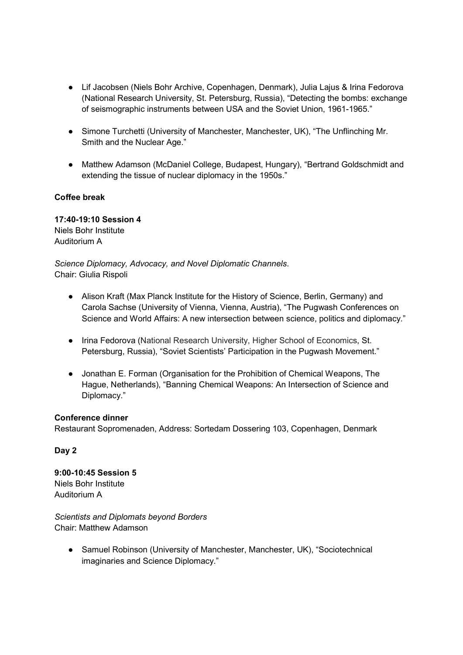- Lif Jacobsen (Niels Bohr Archive, Copenhagen, Denmark), Julia Lajus & Irina Fedorova (National Research University, St. Petersburg, Russia), "Detecting the bombs: exchange of seismographic instruments between USA and the Soviet Union, 1961-1965."
- Simone Turchetti (University of Manchester, Manchester, UK), "The Unflinching Mr. Smith and the Nuclear Age."
- Matthew Adamson (McDaniel College, Budapest, Hungary), "Bertrand Goldschmidt and extending the tissue of nuclear diplomacy in the 1950s."

## Coffee break

17:40-19:10 Session 4 Niels Bohr Institute Auditorium A

Science Diplomacy, Advocacy, and Novel Diplomatic Channels. Chair: Giulia Rispoli

- Alison Kraft (Max Planck Institute for the History of Science, Berlin, Germany) and Carola Sachse (University of Vienna, Vienna, Austria), "The Pugwash Conferences on Science and World Affairs: A new intersection between science, politics and diplomacy."
- Irina Fedorova (National Research University, Higher School of Economics, St. Petersburg, Russia), "Soviet Scientists' Participation in the Pugwash Movement."
- Jonathan E. Forman (Organisation for the Prohibition of Chemical Weapons, The Hague, Netherlands), "Banning Chemical Weapons: An Intersection of Science and Diplomacy."

## Conference dinner

Restaurant Sopromenaden, Address: Sortedam Dossering 103, Copenhagen, Denmark

## Day 2

9:00-10:45 Session 5 Niels Bohr Institute Auditorium A

Scientists and Diplomats beyond Borders Chair: Matthew Adamson

● Samuel Robinson (University of Manchester, Manchester, UK), "Sociotechnical imaginaries and Science Diplomacy."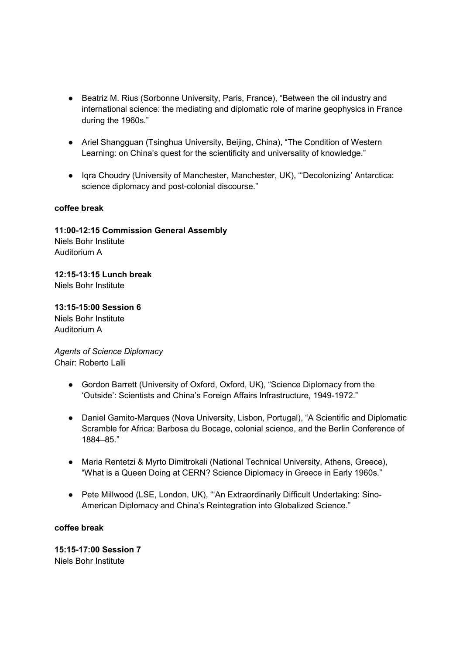- Beatriz M. Rius (Sorbonne University, Paris, France), "Between the oil industry and international science: the mediating and diplomatic role of marine geophysics in France during the 1960s."
- Ariel Shangguan (Tsinghua University, Beijing, China), "The Condition of Western Learning: on China's quest for the scientificity and universality of knowledge."
- Iqra Choudry (University of Manchester, Manchester, UK), "'Decolonizing' Antarctica: science diplomacy and post-colonial discourse."

## coffee break

Auditorium A

11:00-12:15 Commission General Assembly Niels Bohr Institute

12:15-13:15 Lunch break Niels Bohr Institute

13:15-15:00 Session 6 Niels Bohr Institute Auditorium A

Agents of Science Diplomacy Chair: Roberto Lalli

- Gordon Barrett (University of Oxford, Oxford, UK), "Science Diplomacy from the 'Outside': Scientists and China's Foreign Affairs Infrastructure, 1949-1972."
- Daniel Gamito-Marques (Nova University, Lisbon, Portugal), "A Scientific and Diplomatic Scramble for Africa: Barbosa du Bocage, colonial science, and the Berlin Conference of 1884–85."
- Maria Rentetzi & Myrto Dimitrokali (National Technical University, Athens, Greece), "What is a Queen Doing at CERN? Science Diplomacy in Greece in Early 1960s."
- Pete Millwood (LSE, London, UK), "An Extraordinarily Difficult Undertaking: Sino-American Diplomacy and China's Reintegration into Globalized Science."

## coffee break

15:15-17:00 Session 7 Niels Bohr Institute